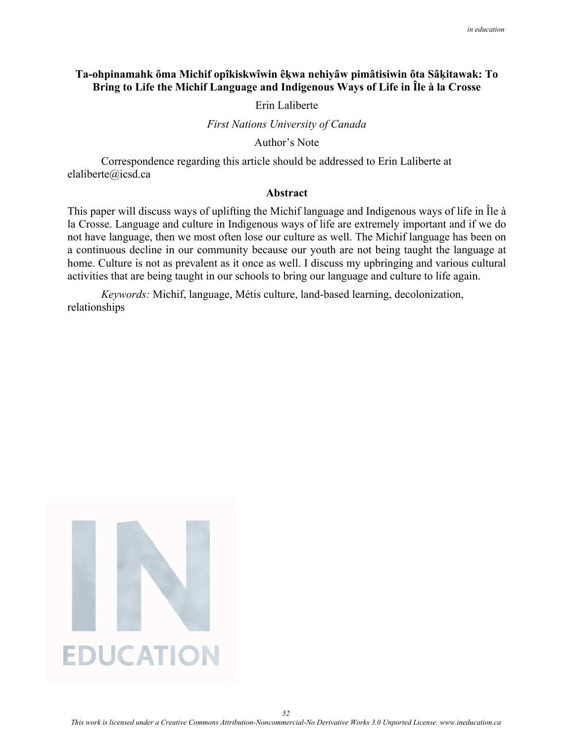# **Ta-ohpinamahk ôma Michif opîkiskwîwin êķwa nehiyâw pimâtisiwin ôta Sâķitawak: To Bring to Life the Michif Language and Indigenous Ways of Life in Île à la Crosse**

### Erin Laliberte

*First Nations University of Canada* 

Author's Note

Correspondence regarding this article should be addressed to Erin Laliberte at elaliberte@icsd.ca

### **Abstract**

This paper will discuss ways of uplifting the Michif language and Indigenous ways of life in Île à la Crosse. Language and culture in Indigenous ways of life are extremely important and if we do not have language, then we most often lose our culture as well. The Michif language has been on a continuous decline in our community because our youth are not being taught the language at home. Culture is not as prevalent as it once as well. I discuss my upbringing and various cultural activities that are being taught in our schools to bring our language and culture to life again.

*Keywords:* Michif, language, Métis culture, land-based learning, decolonization, relationships



*This work is licensed under a Creative Commons Attribution-Noncommercial-No Derivative Works 3.0 Unported License. www.ineducation.ca*

*52*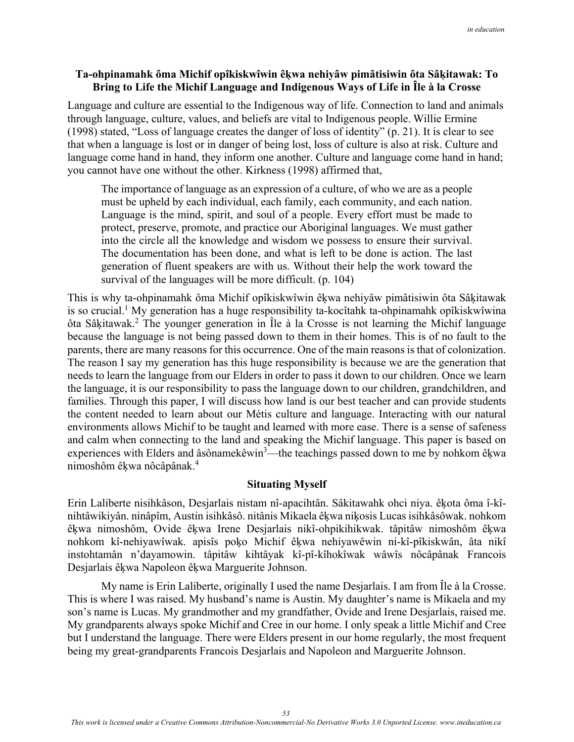# **Ta-ohpinamahk ôma Michif opîkiskwîwin êķwa nehiyâw pimâtisiwin ôta Sâķitawak: To Bring to Life the Michif Language and Indigenous Ways of Life in Île à la Crosse**

Language and culture are essential to the Indigenous way of life. Connection to land and animals through language, culture, values, and beliefs are vital to Indigenous people. Willie Ermine (1998) stated, "Loss of language creates the danger of loss of identity" (p. 21). It is clear to see that when a language is lost or in danger of being lost, loss of culture is also at risk. Culture and language come hand in hand, they inform one another. Culture and language come hand in hand; you cannot have one without the other. Kirkness (1998) affirmed that,

The importance of language as an expression of a culture, of who we are as a people must be upheld by each individual, each family, each community, and each nation. Language is the mind, spirit, and soul of a people. Every effort must be made to protect, preserve, promote, and practice our Aboriginal languages. We must gather into the circle all the knowledge and wisdom we possess to ensure their survival. The documentation has been done, and what is left to be done is action. The last generation of fluent speakers are with us. Without their help the work toward the survival of the languages will be more difficult. (p. 104)

This is why ta-ohpinamahk ôma Michif opîkiskwîwin êķwa nehiyâw pimâtisiwin ôta Sâķitawak is so crucial.<sup>1</sup> My generation has a huge responsibility ta-kocîtahk ta-ohpinamahk opîkiskwîwina ôta Sâķitawak.<sup>2</sup> The younger generation in Île à la Crosse is not learning the Michif language because the language is not being passed down to them in their homes. This is of no fault to the parents, there are many reasons for this occurrence. One of the main reasons is that of colonization. The reason I say my generation has this huge responsibility is because we are the generation that needs to learn the language from our Elders in order to pass it down to our children. Once we learn the language, it is our responsibility to pass the language down to our children, grandchildren, and families. Through this paper, I will discuss how land is our best teacher and can provide students the content needed to learn about our Métis culture and language. Interacting with our natural environments allows Michif to be taught and learned with more ease. There is a sense of safeness and calm when connecting to the land and speaking the Michif language. This paper is based on experiences with Elders and âsônamekêwin<sup>3</sup>—the teachings passed down to me by nohkom êkwa nimoshôm êķwa nôcâpânak.4

## **Situating Myself**

Erin Laliberte nisihkâson, Desjarlais nistam nî-apacihtân. Sâkitawahk ohci niya. êķota ôma î-kînihtâwikiyân. ninâpîm, Austin isihkâsô. nitânis Mikaela êķwa niķosis Lucas isihkâsôwak. nohkom êķwa nimoshôm, Ovide êķwa Irene Desjarlais nikî-ohpikihikwak. tâpitâw nimoshôm êķwa nohkom kî-nehiyawîwak. apisîs poķo Michif êķwa nehiyawêwin ni-kî-pîkiskwân, âta nikî instohtamân n'dayamowin. tâpitâw kihtâyak kî-pî-kîhokîwak wâwîs nôcâpânak Francois Desjarlais êķwa Napoleon êķwa Marguerite Johnson.

My name is Erin Laliberte, originally I used the name Desjarlais. I am from Île à la Crosse. This is where I was raised. My husband's name is Austin. My daughter's name is Mikaela and my son's name is Lucas. My grandmother and my grandfather, Ovide and Irene Desjarlais, raised me. My grandparents always spoke Michif and Cree in our home. I only speak a little Michif and Cree but I understand the language. There were Elders present in our home regularly, the most frequent being my great-grandparents Francois Desjarlais and Napoleon and Marguerite Johnson.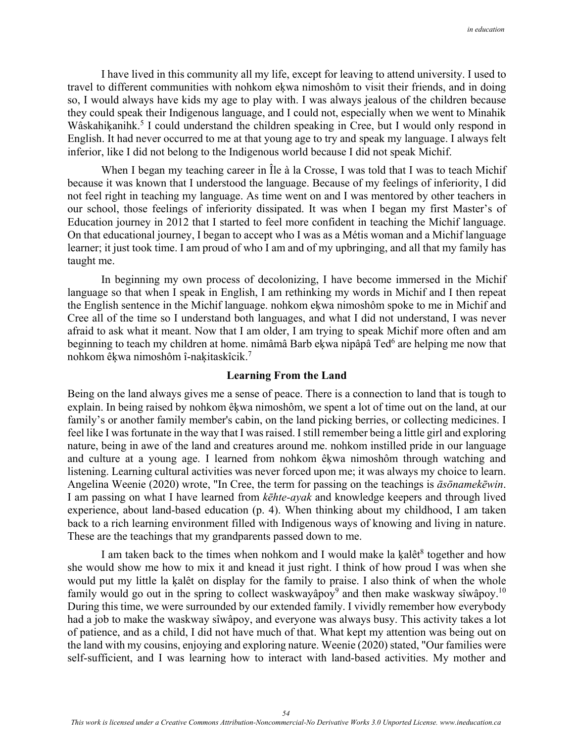I have lived in this community all my life, except for leaving to attend university. I used to travel to different communities with nohkom eķwa nimoshôm to visit their friends, and in doing so, I would always have kids my age to play with. I was always jealous of the children because they could speak their Indigenous language, and I could not, especially when we went to Minahik Wâskahiķanihk.<sup>5</sup> I could understand the children speaking in Cree, but I would only respond in English. It had never occurred to me at that young age to try and speak my language. I always felt inferior, like I did not belong to the Indigenous world because I did not speak Michif.

When I began my teaching career in Île à la Crosse, I was told that I was to teach Michif because it was known that I understood the language. Because of my feelings of inferiority, I did not feel right in teaching my language. As time went on and I was mentored by other teachers in our school, those feelings of inferiority dissipated. It was when I began my first Master's of Education journey in 2012 that I started to feel more confident in teaching the Michif language. On that educational journey, I began to accept who I was as a Métis woman and a Michif language learner; it just took time. I am proud of who I am and of my upbringing, and all that my family has taught me.

In beginning my own process of decolonizing, I have become immersed in the Michif language so that when I speak in English, I am rethinking my words in Michif and I then repeat the English sentence in the Michif language. nohkom eķwa nimoshôm spoke to me in Michif and Cree all of the time so I understand both languages, and what I did not understand, I was never afraid to ask what it meant. Now that I am older, I am trying to speak Michif more often and am beginning to teach my children at home. nimâmâ Barb eķwa nipâpâ Ted<sup>6</sup> are helping me now that nohkom êķwa nimoshôm î-naķitaskîcik.7

### **Learning From the Land**

Being on the land always gives me a sense of peace. There is a connection to land that is tough to explain. In being raised by nohkom êķwa nimoshôm, we spent a lot of time out on the land, at our family's or another family member's cabin, on the land picking berries, or collecting medicines. I feel like I was fortunate in the way that I was raised. I still remember being a little girl and exploring nature, being in awe of the land and creatures around me. nohkom instilled pride in our language and culture at a young age. I learned from nohkom êķwa nimoshôm through watching and listening. Learning cultural activities was never forced upon me; it was always my choice to learn. Angelina Weenie (2020) wrote, "In Cree, the term for passing on the teachings is *āsōnamekēwin*. I am passing on what I have learned from *kēhte-ayak* and knowledge keepers and through lived experience, about land-based education (p. 4). When thinking about my childhood, I am taken back to a rich learning environment filled with Indigenous ways of knowing and living in nature. These are the teachings that my grandparents passed down to me.

I am taken back to the times when nohkom and I would make la kalêt<sup>8</sup> together and how she would show me how to mix it and knead it just right. I think of how proud I was when she would put my little la ķalêt on display for the family to praise. I also think of when the whole family would go out in the spring to collect waskwayapoy<sup>9</sup> and then make waskway siwapoy.<sup>10</sup> During this time, we were surrounded by our extended family. I vividly remember how everybody had a job to make the waskway sîwâpoy, and everyone was always busy. This activity takes a lot of patience, and as a child, I did not have much of that. What kept my attention was being out on the land with my cousins, enjoying and exploring nature. Weenie (2020) stated, "Our families were self-sufficient, and I was learning how to interact with land-based activities. My mother and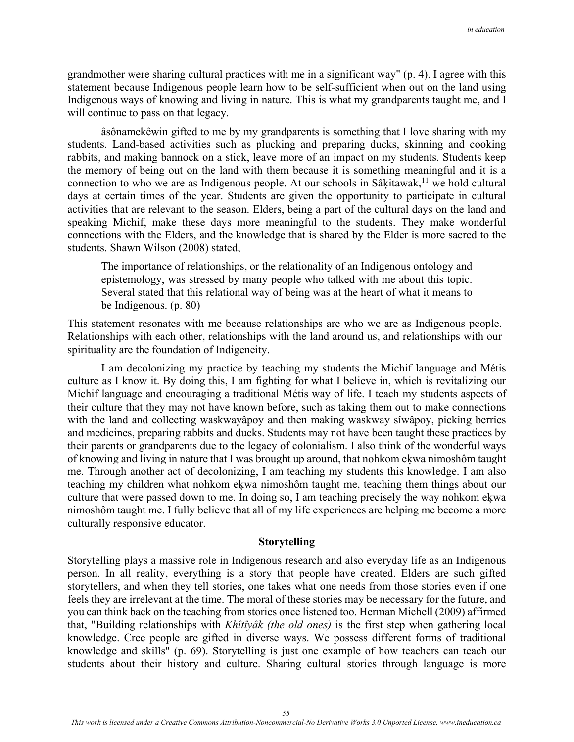grandmother were sharing cultural practices with me in a significant way" (p. 4). I agree with this statement because Indigenous people learn how to be self-sufficient when out on the land using Indigenous ways of knowing and living in nature. This is what my grandparents taught me, and I will continue to pass on that legacy.

 âsônamekêwin gifted to me by my grandparents is something that I love sharing with my students. Land-based activities such as plucking and preparing ducks, skinning and cooking rabbits, and making bannock on a stick, leave more of an impact on my students. Students keep the memory of being out on the land with them because it is something meaningful and it is a connection to who we are as Indigenous people. At our schools in Sâķitawak,<sup>11</sup> we hold cultural days at certain times of the year. Students are given the opportunity to participate in cultural activities that are relevant to the season. Elders, being a part of the cultural days on the land and speaking Michif, make these days more meaningful to the students. They make wonderful connections with the Elders, and the knowledge that is shared by the Elder is more sacred to the students. Shawn Wilson (2008) stated,

The importance of relationships, or the relationality of an Indigenous ontology and epistemology, was stressed by many people who talked with me about this topic. Several stated that this relational way of being was at the heart of what it means to be Indigenous. (p. 80)

This statement resonates with me because relationships are who we are as Indigenous people. Relationships with each other, relationships with the land around us, and relationships with our spirituality are the foundation of Indigeneity.

I am decolonizing my practice by teaching my students the Michif language and Métis culture as I know it. By doing this, I am fighting for what I believe in, which is revitalizing our Michif language and encouraging a traditional Métis way of life. I teach my students aspects of their culture that they may not have known before, such as taking them out to make connections with the land and collecting waskwayâpoy and then making waskway sîwâpoy, picking berries and medicines, preparing rabbits and ducks. Students may not have been taught these practices by their parents or grandparents due to the legacy of colonialism. I also think of the wonderful ways of knowing and living in nature that I was brought up around, that nohkom eķwa nimoshôm taught me. Through another act of decolonizing, I am teaching my students this knowledge. I am also teaching my children what nohkom eķwa nimoshôm taught me, teaching them things about our culture that were passed down to me. In doing so, I am teaching precisely the way nohkom eķwa nimoshôm taught me. I fully believe that all of my life experiences are helping me become a more culturally responsive educator.

#### **Storytelling**

Storytelling plays a massive role in Indigenous research and also everyday life as an Indigenous person. In all reality, everything is a story that people have created. Elders are such gifted storytellers, and when they tell stories, one takes what one needs from those stories even if one feels they are irrelevant at the time. The moral of these stories may be necessary for the future, and you can think back on the teaching from stories once listened too. Herman Michell (2009) affirmed that, "Building relationships with *Khîtîyâk (the old ones)* is the first step when gathering local knowledge. Cree people are gifted in diverse ways. We possess different forms of traditional knowledge and skills" (p. 69). Storytelling is just one example of how teachers can teach our students about their history and culture. Sharing cultural stories through language is more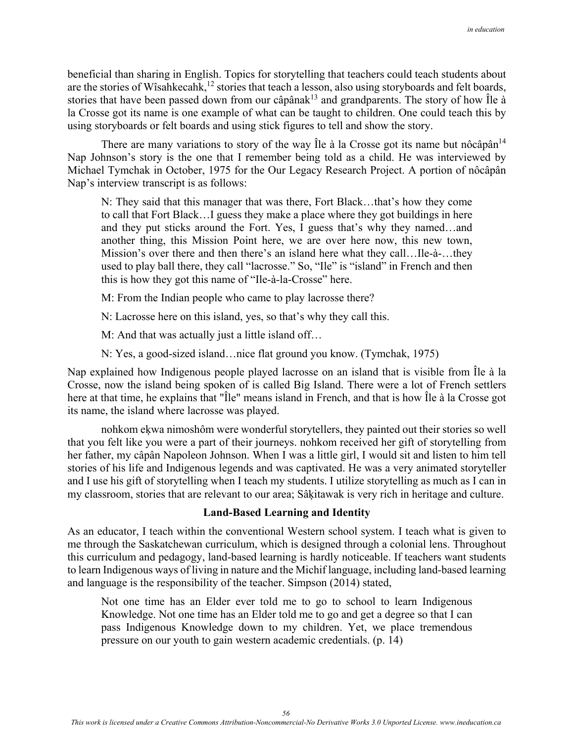beneficial than sharing in English. Topics for storytelling that teachers could teach students about are the stories of Wîsahkecahk,<sup>12</sup> stories that teach a lesson, also using storyboards and felt boards, stories that have been passed down from our câpâna $k^{13}$  and grandparents. The story of how  $\hat{I}$ le à la Crosse got its name is one example of what can be taught to children. One could teach this by using storyboards or felt boards and using stick figures to tell and show the story.

There are many variations to story of the way le  $\lambda$  la Crosse got its name but nôcâpân<sup>14</sup> Nap Johnson's story is the one that I remember being told as a child. He was interviewed by Michael Tymchak in October, 1975 for the Our Legacy Research Project. A portion of nôcâpân Nap's interview transcript is as follows:

N: They said that this manager that was there, Fort Black…that's how they come to call that Fort Black…I guess they make a place where they got buildings in here and they put sticks around the Fort. Yes, I guess that's why they named…and another thing, this Mission Point here, we are over here now, this new town, Mission's over there and then there's an island here what they call…Ile-à-…they used to play ball there, they call "lacrosse." So, "Ile" is "island" in French and then this is how they got this name of "Ile-à-la-Crosse" here.

M: From the Indian people who came to play lacrosse there?

N: Lacrosse here on this island, yes, so that's why they call this.

M: And that was actually just a little island off…

N: Yes, a good-sized island…nice flat ground you know. (Tymchak, 1975)

Nap explained how Indigenous people played lacrosse on an island that is visible from Île à la Crosse, now the island being spoken of is called Big Island. There were a lot of French settlers here at that time, he explains that "Île" means island in French, and that is how Île à la Crosse got its name, the island where lacrosse was played.

nohkom eķwa nimoshôm were wonderful storytellers, they painted out their stories so well that you felt like you were a part of their journeys. nohkom received her gift of storytelling from her father, my câpân Napoleon Johnson. When I was a little girl, I would sit and listen to him tell stories of his life and Indigenous legends and was captivated. He was a very animated storyteller and I use his gift of storytelling when I teach my students. I utilize storytelling as much as I can in my classroom, stories that are relevant to our area; Sâķitawak is very rich in heritage and culture.

## **Land-Based Learning and Identity**

As an educator, I teach within the conventional Western school system. I teach what is given to me through the Saskatchewan curriculum, which is designed through a colonial lens. Throughout this curriculum and pedagogy, land-based learning is hardly noticeable. If teachers want students to learn Indigenous ways of living in nature and the Michif language, including land-based learning and language is the responsibility of the teacher. Simpson (2014) stated,

Not one time has an Elder ever told me to go to school to learn Indigenous Knowledge. Not one time has an Elder told me to go and get a degree so that I can pass Indigenous Knowledge down to my children. Yet, we place tremendous pressure on our youth to gain western academic credentials. (p. 14)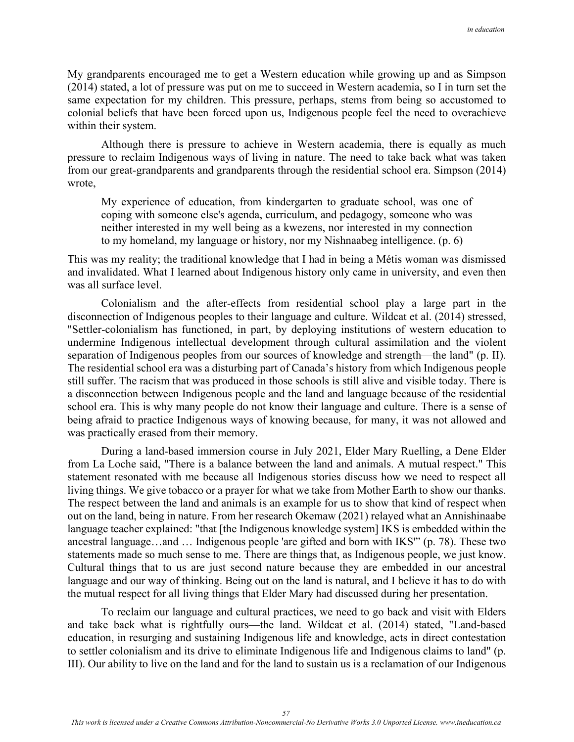My grandparents encouraged me to get a Western education while growing up and as Simpson (2014) stated, a lot of pressure was put on me to succeed in Western academia, so I in turn set the same expectation for my children. This pressure, perhaps, stems from being so accustomed to colonial beliefs that have been forced upon us, Indigenous people feel the need to overachieve within their system.

 Although there is pressure to achieve in Western academia, there is equally as much pressure to reclaim Indigenous ways of living in nature. The need to take back what was taken from our great-grandparents and grandparents through the residential school era. Simpson (2014) wrote,

My experience of education, from kindergarten to graduate school, was one of coping with someone else's agenda, curriculum, and pedagogy, someone who was neither interested in my well being as a kwezens, nor interested in my connection to my homeland, my language or history, nor my Nishnaabeg intelligence. (p. 6)

This was my reality; the traditional knowledge that I had in being a Métis woman was dismissed and invalidated. What I learned about Indigenous history only came in university, and even then was all surface level.

 Colonialism and the after-effects from residential school play a large part in the disconnection of Indigenous peoples to their language and culture. Wildcat et al. (2014) stressed, "Settler-colonialism has functioned, in part, by deploying institutions of western education to undermine Indigenous intellectual development through cultural assimilation and the violent separation of Indigenous peoples from our sources of knowledge and strength—the land" (p. II). The residential school era was a disturbing part of Canada's history from which Indigenous people still suffer. The racism that was produced in those schools is still alive and visible today. There is a disconnection between Indigenous people and the land and language because of the residential school era. This is why many people do not know their language and culture. There is a sense of being afraid to practice Indigenous ways of knowing because, for many, it was not allowed and was practically erased from their memory.

During a land-based immersion course in July 2021, Elder Mary Ruelling, a Dene Elder from La Loche said, "There is a balance between the land and animals. A mutual respect." This statement resonated with me because all Indigenous stories discuss how we need to respect all living things. We give tobacco or a prayer for what we take from Mother Earth to show our thanks. The respect between the land and animals is an example for us to show that kind of respect when out on the land, being in nature. From her research Okemaw (2021) relayed what an Annishinaabe language teacher explained: "that [the Indigenous knowledge system] IKS is embedded within the ancestral language…and … Indigenous people 'are gifted and born with IKS'" (p. 78). These two statements made so much sense to me. There are things that, as Indigenous people, we just know. Cultural things that to us are just second nature because they are embedded in our ancestral language and our way of thinking. Being out on the land is natural, and I believe it has to do with the mutual respect for all living things that Elder Mary had discussed during her presentation.

To reclaim our language and cultural practices, we need to go back and visit with Elders and take back what is rightfully ours—the land. Wildcat et al. (2014) stated, "Land-based education, in resurging and sustaining Indigenous life and knowledge, acts in direct contestation to settler colonialism and its drive to eliminate Indigenous life and Indigenous claims to land" (p. III). Our ability to live on the land and for the land to sustain us is a reclamation of our Indigenous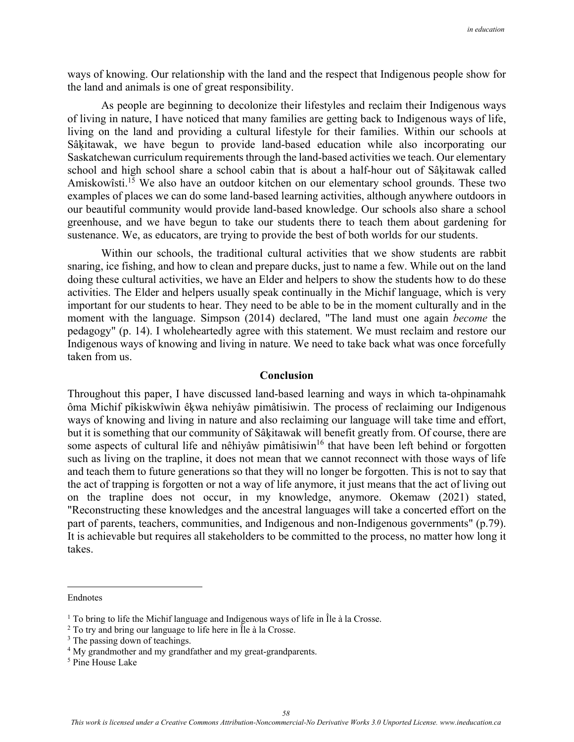ways of knowing. Our relationship with the land and the respect that Indigenous people show for the land and animals is one of great responsibility.

 As people are beginning to decolonize their lifestyles and reclaim their Indigenous ways of living in nature, I have noticed that many families are getting back to Indigenous ways of life, living on the land and providing a cultural lifestyle for their families. Within our schools at Sâķitawak, we have begun to provide land-based education while also incorporating our Saskatchewan curriculum requirements through the land-based activities we teach. Our elementary school and high school share a school cabin that is about a half-hour out of Sâķitawak called Amiskowîsti.<sup>15</sup> We also have an outdoor kitchen on our elementary school grounds. These two examples of places we can do some land-based learning activities, although anywhere outdoors in our beautiful community would provide land-based knowledge. Our schools also share a school greenhouse, and we have begun to take our students there to teach them about gardening for sustenance. We, as educators, are trying to provide the best of both worlds for our students.

 Within our schools, the traditional cultural activities that we show students are rabbit snaring, ice fishing, and how to clean and prepare ducks, just to name a few. While out on the land doing these cultural activities, we have an Elder and helpers to show the students how to do these activities. The Elder and helpers usually speak continually in the Michif language, which is very important for our students to hear. They need to be able to be in the moment culturally and in the moment with the language. Simpson (2014) declared, "The land must one again *become* the pedagogy" (p. 14). I wholeheartedly agree with this statement. We must reclaim and restore our Indigenous ways of knowing and living in nature. We need to take back what was once forcefully taken from us.

### **Conclusion**

Throughout this paper, I have discussed land-based learning and ways in which ta-ohpinamahk ôma Michif pîkiskwîwin êķwa nehiyâw pimâtisiwin. The process of reclaiming our Indigenous ways of knowing and living in nature and also reclaiming our language will take time and effort, but it is something that our community of Sâķitawak will benefit greatly from. Of course, there are some aspects of cultural life and nêhiyâw pimâtisiwin<sup>16</sup> that have been left behind or forgotten such as living on the trapline, it does not mean that we cannot reconnect with those ways of life and teach them to future generations so that they will no longer be forgotten. This is not to say that the act of trapping is forgotten or not a way of life anymore, it just means that the act of living out on the trapline does not occur, in my knowledge, anymore. Okemaw (2021) stated, "Reconstructing these knowledges and the ancestral languages will take a concerted effort on the part of parents, teachers, communities, and Indigenous and non-Indigenous governments" (p.79). It is achievable but requires all stakeholders to be committed to the process, no matter how long it takes.

Endnotes

<sup>&</sup>lt;sup>1</sup> To bring to life the Michif language and Indigenous ways of life in Île à la Crosse.<br><sup>2</sup> To try and bring our language to life here in Île à la Crosse.

 $2$  To try and bring our language to life here in  $\tilde{\Pi}$ e à la Crosse.

<sup>&</sup>lt;sup>3</sup> The passing down of teachings.

<sup>&</sup>lt;sup>4</sup> My grandmother and my grandfather and my great-grandparents.

<sup>5</sup> Pine House Lake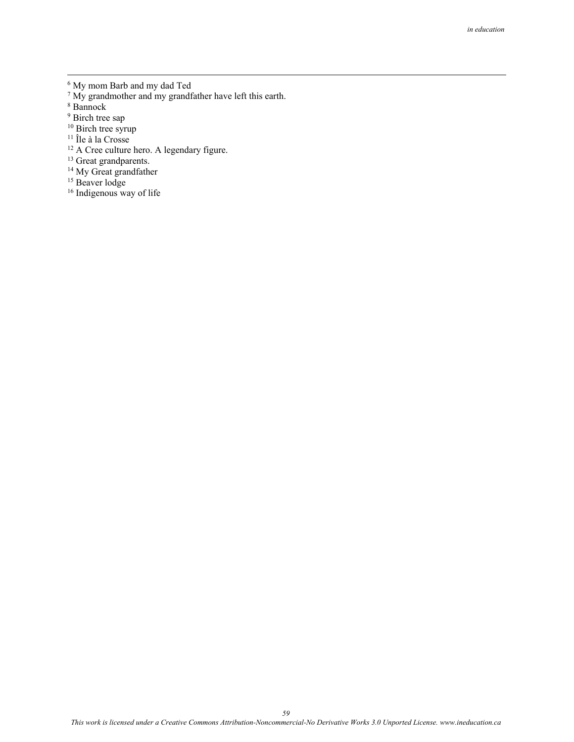- 6 My mom Barb and my dad Ted 7 My grandmother and my grandfather have left this earth.
- 8 Bannock
- <sup>9</sup> Birch tree sap
- <sup>10</sup> Birch tree syrup
- <sup>11</sup> Île à la Crosse
- <sup>12</sup> A Cree culture hero. A legendary figure.
- <sup>13</sup> Great grandparents.
- <sup>14</sup> My Great grandfather
- <sup>15</sup> Beaver lodge
- <sup>16</sup> Indigenous way of life